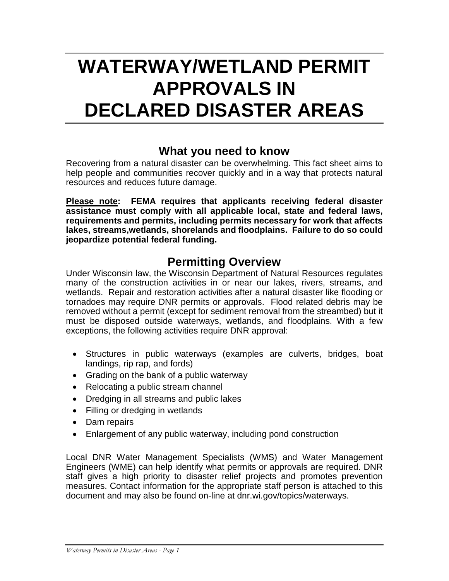# **WATERWAY/WETLAND PERMIT APPROVALS IN DECLARED DISASTER AREAS**

#### **What you need to know**

Recovering from a natural disaster can be overwhelming. This fact sheet aims to help people and communities recover quickly and in a way that protects natural resources and reduces future damage.

**Please note: FEMA requires that applicants receiving federal disaster assistance must comply with all applicable local, state and federal laws, requirements and permits, including permits necessary for work that affects lakes, streams,wetlands, shorelands and floodplains. Failure to do so could jeopardize potential federal funding.**

#### **Permitting Overview**

Under Wisconsin law, the Wisconsin Department of Natural Resources regulates many of the construction activities in or near our lakes, rivers, streams, and wetlands. Repair and restoration activities after a natural disaster like flooding or tornadoes may require DNR permits or approvals. Flood related debris may be removed without a permit (except for sediment removal from the streambed) but it must be disposed outside waterways, wetlands, and floodplains. With a few exceptions, the following activities require DNR approval:

- Structures in public waterways (examples are culverts, bridges, boat landings, rip rap, and fords)
- Grading on the bank of a public waterway
- Relocating a public stream channel
- Dredging in all streams and public lakes
- Filling or dredging in wetlands
- Dam repairs
- Enlargement of any public waterway, including pond construction

Local DNR Water Management Specialists (WMS) and Water Management Engineers (WME) can help identify what permits or approvals are required. DNR staff gives a high priority to disaster relief projects and promotes prevention measures. Contact information for the appropriate staff person is attached to this document and may also be found on-line at dnr.wi.gov/topics/waterways.